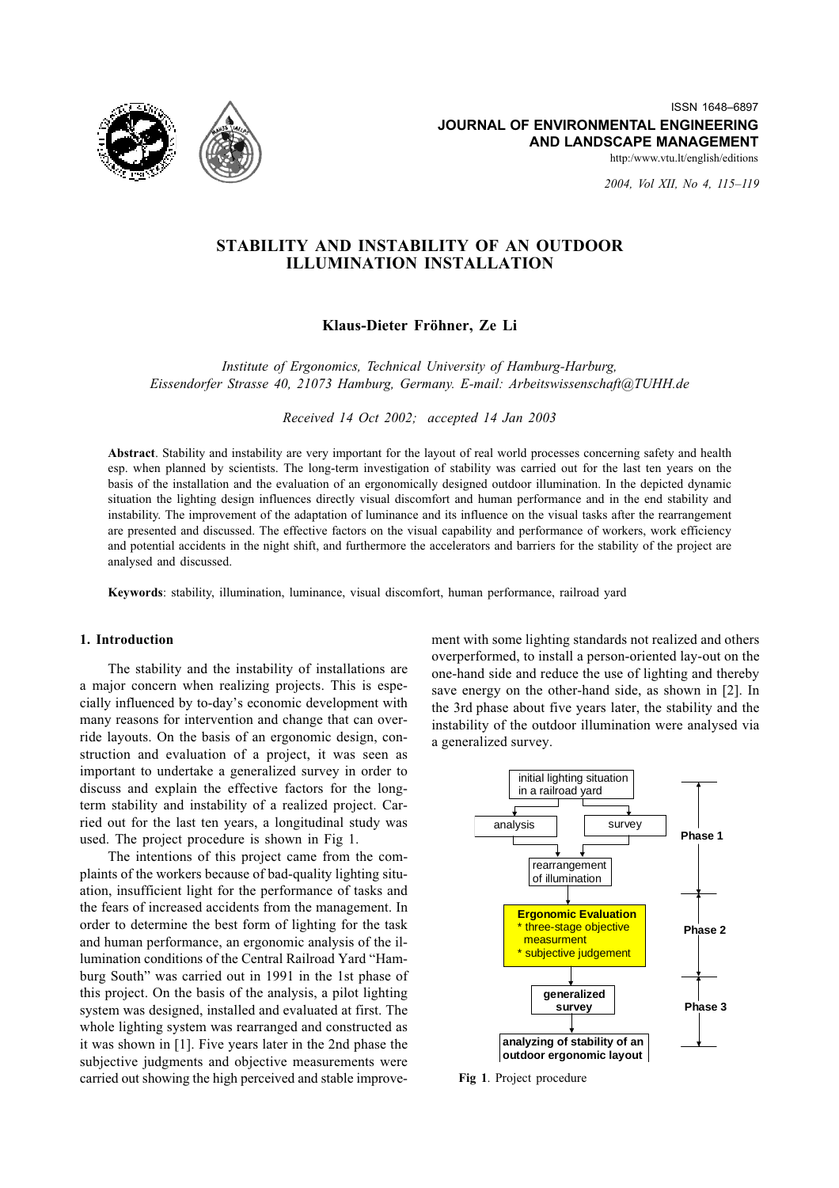

2004, Vol XII, No 4, 115-119

# STABILITY AND INSTABILITY OF AN OUTDOOR **ILLUMINATION INSTALLATION**

Klaus-Dieter Fröhner, Ze Li

Institute of Ergonomics, Technical University of Hamburg-Harburg, Eissendorfer Strasse 40, 21073 Hamburg, Germany, E-mail: Arbeitswissenschaft@TUHH.de

Received 14 Oct 2002; accepted 14 Jan 2003

Abstract. Stability and instability are very important for the layout of real world processes concerning safety and health esp. when planned by scientists. The long-term investigation of stability was carried out for the last ten years on the basis of the installation and the evaluation of an ergonomically designed outdoor illumination. In the depicted dynamic situation the lighting design influences directly visual discomfort and human performance and in the end stability and instability. The improvement of the adaptation of luminance and its influence on the visual tasks after the rearrangement are presented and discussed. The effective factors on the visual capability and performance of workers, work efficiency and potential accidents in the night shift, and furthermore the accelerators and barriers for the stability of the project are analysed and discussed.

Keywords: stability, illumination, luminance, visual discomfort, human performance, railroad yard

### 1. Introduction

The stability and the instability of installations are a major concern when realizing projects. This is especially influenced by to-day's economic development with many reasons for intervention and change that can override layouts. On the basis of an ergonomic design, construction and evaluation of a project, it was seen as important to undertake a generalized survey in order to discuss and explain the effective factors for the longterm stability and instability of a realized project. Carried out for the last ten years, a longitudinal study was used. The project procedure is shown in Fig 1.

The intentions of this project came from the complaints of the workers because of bad-quality lighting situation, insufficient light for the performance of tasks and the fears of increased accidents from the management. In order to determine the best form of lighting for the task and human performance, an ergonomic analysis of the illumination conditions of the Central Railroad Yard "Hamburg South" was carried out in 1991 in the 1st phase of this project. On the basis of the analysis, a pilot lighting system was designed, installed and evaluated at first. The whole lighting system was rearranged and constructed as it was shown in [1]. Five years later in the 2nd phase the subjective judgments and objective measurements were carried out showing the high perceived and stable improvement with some lighting standards not realized and others overperformed, to install a person-oriented lay-out on the one-hand side and reduce the use of lighting and thereby save energy on the other-hand side, as shown in [2]. In the 3rd phase about five years later, the stability and the instability of the outdoor illumination were analysed via a generalized survey.



Fig 1. Project procedure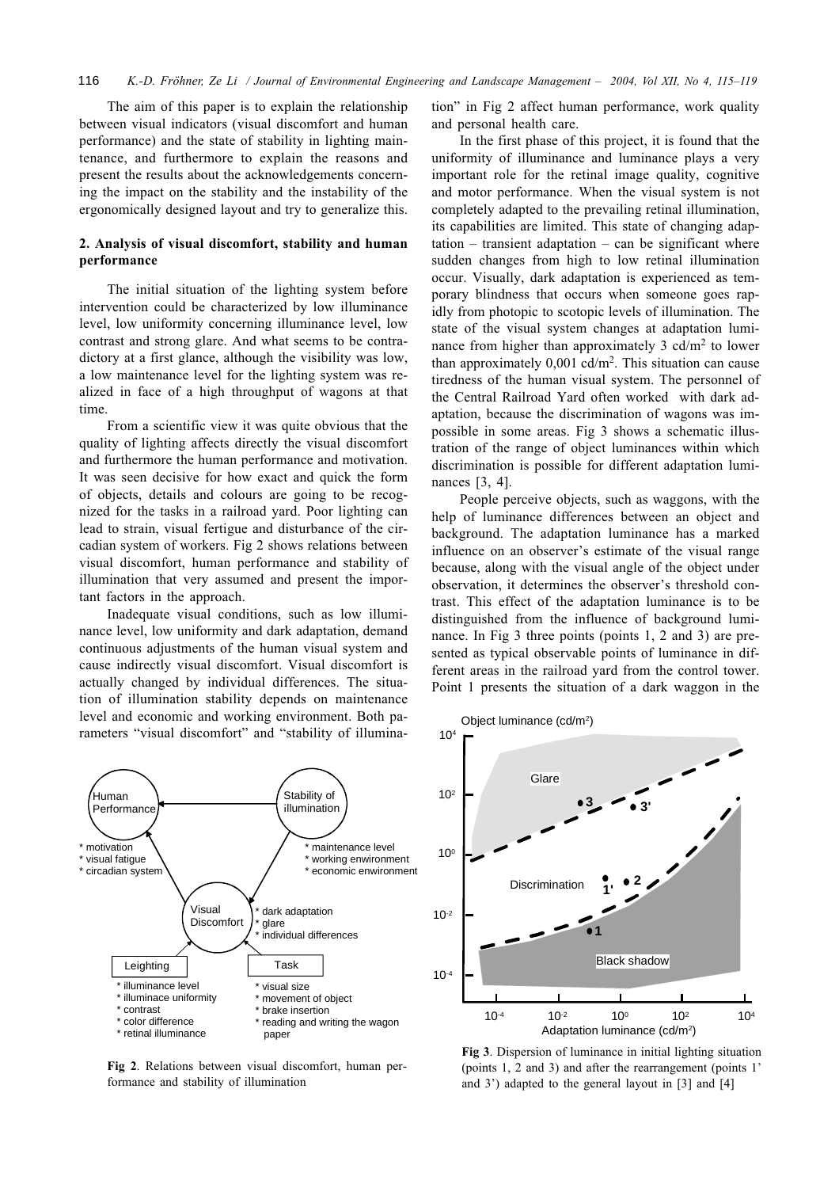The aim of this paper is to explain the relationship between visual indicators (visual discomfort and human performance) and the state of stability in lighting maintenance, and furthermore to explain the reasons and present the results about the acknowledgements concerning the impact on the stability and the instability of the ergonomically designed layout and try to generalize this.

### 2. Analysis of visual discomfort, stability and human performance

The initial situation of the lighting system before intervention could be characterized by low illuminance level, low uniformity concerning illuminance level, low contrast and strong glare. And what seems to be contradictory at a first glance, although the visibility was low, a low maintenance level for the lighting system was realized in face of a high throughput of wagons at that time.

From a scientific view it was quite obvious that the quality of lighting affects directly the visual discomfort and furthermore the human performance and motivation. It was seen decisive for how exact and quick the form of objects, details and colours are going to be recognized for the tasks in a railroad yard. Poor lighting can lead to strain, visual fertigue and disturbance of the circadian system of workers. Fig 2 shows relations between visual discomfort, human performance and stability of illumination that very assumed and present the important factors in the approach.

Inadequate visual conditions, such as low illuminance level, low uniformity and dark adaptation, demand continuous adjustments of the human visual system and cause indirectly visual discomfort. Visual discomfort is actually changed by individual differences. The situation of illumination stability depends on maintenance level and economic and working environment. Both parameters "visual discomfort" and "stability of illumina-



Fig 2. Relations between visual discomfort, human performance and stability of illumination

tion" in Fig 2 affect human performance, work quality and personal health care.

In the first phase of this project, it is found that the uniformity of illuminance and luminance plays a very important role for the retinal image quality, cognitive and motor performance. When the visual system is not completely adapted to the prevailing retinal illumination, its capabilities are limited. This state of changing adap $tation$  – transient adaptation – can be significant where sudden changes from high to low retinal illumination occur. Visually, dark adaptation is experienced as temporary blindness that occurs when someone goes rapidly from photopic to scotopic levels of illumination. The state of the visual system changes at adaptation luminance from higher than approximately 3 cd/m<sup>2</sup> to lower than approximately  $0.001$  cd/m<sup>2</sup>. This situation can cause tiredness of the human visual system. The personnel of the Central Railroad Yard often worked with dark adaptation, because the discrimination of wagons was impossible in some areas. Fig 3 shows a schematic illustration of the range of object luminances within which discrimination is possible for different adaptation luminances  $[3, 4]$ .

People perceive objects, such as waggons, with the help of luminance differences between an object and background. The adaptation luminance has a marked influence on an observer's estimate of the visual range because, along with the visual angle of the object under observation, it determines the observer's threshold contrast. This effect of the adaptation luminance is to be distinguished from the influence of background luminance. In Fig 3 three points (points 1, 2 and 3) are presented as typical observable points of luminance in different areas in the railroad yard from the control tower. Point 1 presents the situation of a dark waggon in the



Fig 3. Dispersion of luminance in initial lighting situation (points 1, 2 and 3) and after the rearrangement (points 1' and 3') adapted to the general layout in  $[3]$  and  $[4]$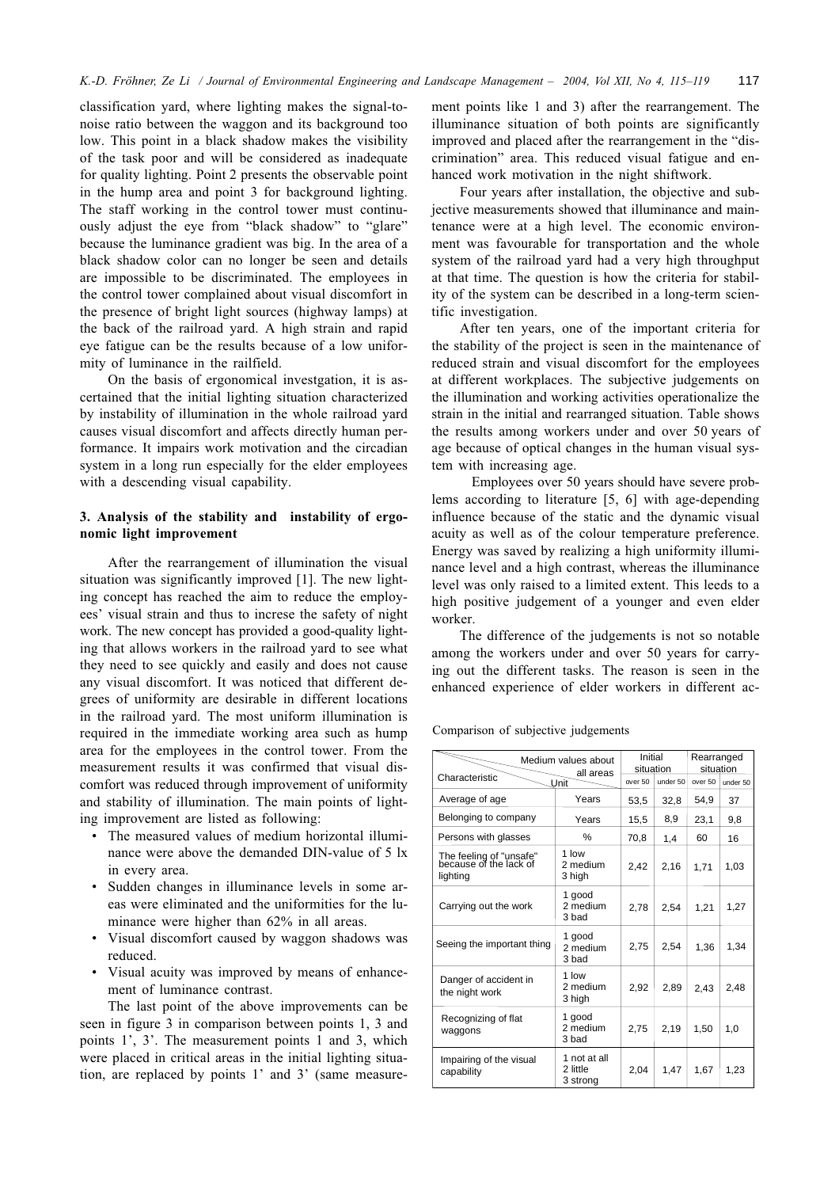classification yard, where lighting makes the signal-tonoise ratio between the waggon and its background too low. This point in a black shadow makes the visibility of the task poor and will be considered as inadequate for quality lighting. Point 2 presents the observable point in the hump area and point 3 for background lighting. The staff working in the control tower must continuously adjust the eye from "black shadow" to "glare" because the luminance gradient was big. In the area of a black shadow color can no longer be seen and details are impossible to be discriminated. The employees in the control tower complained about visual discomfort in the presence of bright light sources (highway lamps) at the back of the railroad yard. A high strain and rapid eye fatigue can be the results because of a low uniformity of luminance in the railfield.

On the basis of ergonomical investgation, it is ascertained that the initial lighting situation characterized by instability of illumination in the whole railroad yard causes visual discomfort and affects directly human performance. It impairs work motivation and the circadian system in a long run especially for the elder employees with a descending visual capability.

### 3. Analysis of the stability and instability of ergonomic light improvement

After the rearrangement of illumination the visual situation was significantly improved [1]. The new lighting concept has reached the aim to reduce the employees' visual strain and thus to increse the safety of night work. The new concept has provided a good-quality lighting that allows workers in the railroad yard to see what they need to see quickly and easily and does not cause any visual discomfort. It was noticed that different degrees of uniformity are desirable in different locations in the railroad yard. The most uniform illumination is required in the immediate working area such as hump area for the employees in the control tower. From the measurement results it was confirmed that visual discomfort was reduced through improvement of uniformity and stability of illumination. The main points of lighting improvement are listed as following:

- The measured values of medium horizontal illuminance were above the demanded DIN-value of 5 lx in every area.
- Sudden changes in illuminance levels in some areas were eliminated and the uniformities for the luminance were higher than 62% in all areas.
- Visual discomfort caused by waggon shadows was reduced.
- Visual acuity was improved by means of enhancement of luminance contrast.

The last point of the above improvements can be seen in figure 3 in comparison between points 1, 3 and points 1', 3'. The measurement points 1 and 3, which were placed in critical areas in the initial lighting situation, are replaced by points 1' and 3' (same measurement points like 1 and 3) after the rearrangement. The illuminance situation of both points are significantly improved and placed after the rearrangement in the "discrimination" area. This reduced visual fatigue and enhanced work motivation in the night shiftwork.

Four years after installation, the objective and subjective measurements showed that illuminance and maintenance were at a high level. The economic environment was favourable for transportation and the whole system of the railroad yard had a very high throughput at that time. The question is how the criteria for stability of the system can be described in a long-term scientific investigation.

After ten years, one of the important criteria for the stability of the project is seen in the maintenance of reduced strain and visual discomfort for the employees at different workplaces. The subjective judgements on the illumination and working activities operationalize the strain in the initial and rearranged situation. Table shows the results among workers under and over 50 years of age because of optical changes in the human visual system with increasing age.

Employees over 50 years should have severe problems according to literature  $[5, 6]$  with age-depending influence because of the static and the dynamic visual acuity as well as of the colour temperature preference. Energy was saved by realizing a high uniformity illuminance level and a high contrast, whereas the illuminance level was only raised to a limited extent. This leeds to a high positive judgement of a younger and even elder worker.

The difference of the judgements is not so notable among the workers under and over 50 years for carrying out the different tasks. The reason is seen in the enhanced experience of elder workers in different ac-

Comparison of subjective judgements

| Medium values about<br>all areas<br>Characteristic<br>Unit    |                                      | Initial<br>situation |          | Rearranged<br>situation |          |
|---------------------------------------------------------------|--------------------------------------|----------------------|----------|-------------------------|----------|
|                                                               |                                      | over 50              | under 50 | over 50                 | under 50 |
| Average of age                                                | Years                                | 53,5                 | 32,8     | 54.9                    | 37       |
| Belonging to company                                          | Years                                | 15,5                 | 8,9      | 23,1                    | 9,8      |
| Persons with glasses                                          | $\frac{0}{0}$                        | 70,8                 | 1,4      | 60                      | 16       |
| The feeling of "unsafe"<br>because of the lack of<br>lighting | 1 low<br>2 medium<br>3 high          | 2,42                 | 2,16     | 1,71                    | 1,03     |
| Carrying out the work                                         | 1 good<br>2 medium<br>3 bad          | 2.78                 | 2.54     | 1,21                    | 1,27     |
| Seeing the important thing                                    | 1 good<br>2 medium<br>3 bad          | 2,75                 | 2.54     | 1.36                    | 1,34     |
| Danger of accident in<br>the night work                       | 1 low<br>2 medium<br>3 high          | 2,92                 | 2.89     | 2,43                    | 2,48     |
| Recognizing of flat<br>waggons                                | 1 good<br>2 medium<br>3 bad          | 2,75                 | 2.19     | 1,50                    | 1,0      |
| Impairing of the visual<br>capability                         | 1 not at all<br>2 little<br>3 strong | 2,04                 | 1,47     | 1,67                    | 1,23     |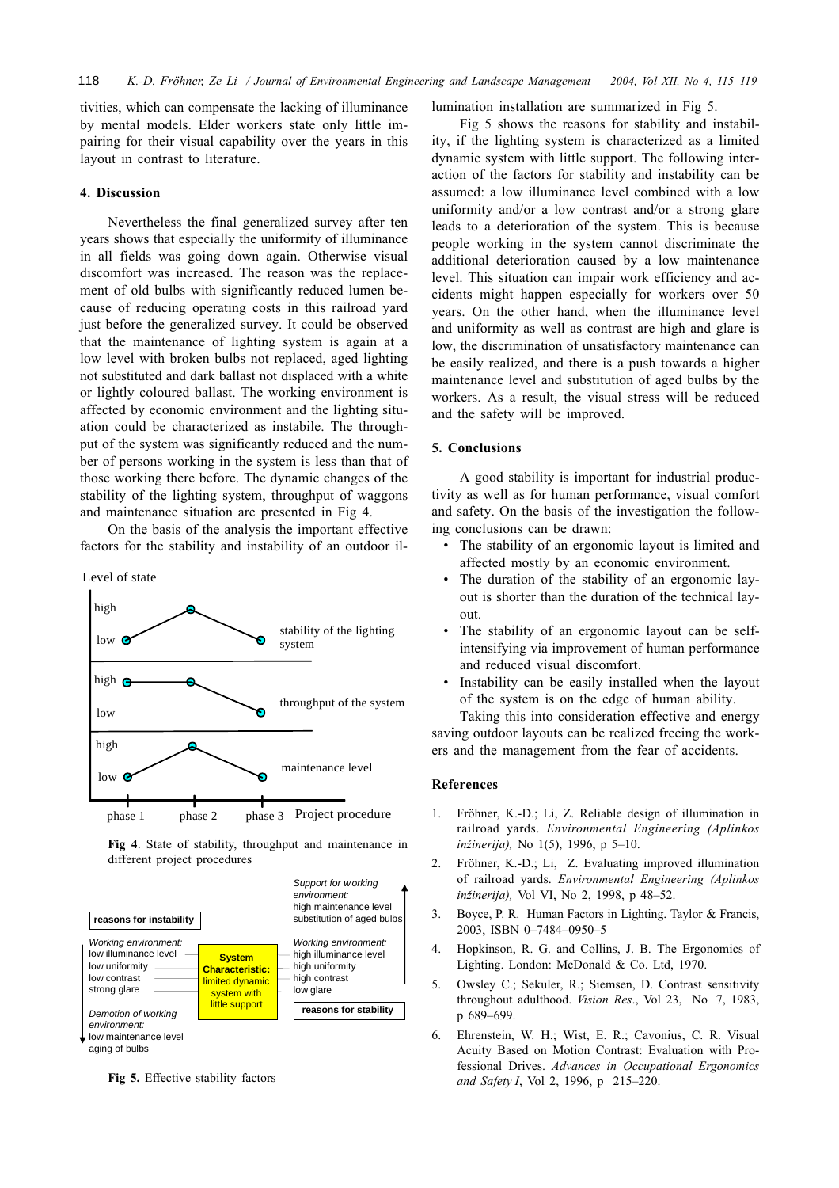tivities, which can compensate the lacking of illuminance by mental models. Elder workers state only little impairing for their visual capability over the years in this layout in contrast to literature.

#### 4. Discussion

Nevertheless the final generalized survey after ten years shows that especially the uniformity of illuminance in all fields was going down again. Otherwise visual discomfort was increased. The reason was the replacement of old bulbs with significantly reduced lumen because of reducing operating costs in this railroad yard just before the generalized survey. It could be observed that the maintenance of lighting system is again at a low level with broken bulbs not replaced, aged lighting not substituted and dark ballast not displaced with a white or lightly coloured ballast. The working environment is affected by economic environment and the lighting situation could be characterized as instabile. The throughput of the system was significantly reduced and the number of persons working in the system is less than that of those working there before. The dynamic changes of the stability of the lighting system, throughput of waggons and maintenance situation are presented in Fig 4.

On the basis of the analysis the important effective factors for the stability and instability of an outdoor il-

Level of state



Fig 4. State of stability, throughput and maintenance in different project procedures



Fig 5. Effective stability factors

lumination installation are summarized in Fig 5.

Fig 5 shows the reasons for stability and instability, if the lighting system is characterized as a limited dynamic system with little support. The following interaction of the factors for stability and instability can be assumed: a low illuminance level combined with a low uniformity and/or a low contrast and/or a strong glare leads to a deterioration of the system. This is because people working in the system cannot discriminate the additional deterioration caused by a low maintenance level. This situation can impair work efficiency and accidents might happen especially for workers over 50 years. On the other hand, when the illuminance level and uniformity as well as contrast are high and glare is low, the discrimination of unsatisfactory maintenance can be easily realized, and there is a push towards a higher maintenance level and substitution of aged bulbs by the workers. As a result, the visual stress will be reduced and the safety will be improved.

#### 5. Conclusions

A good stability is important for industrial productivity as well as for human performance, visual comfort and safety. On the basis of the investigation the following conclusions can be drawn:

- The stability of an ergonomic layout is limited and affected mostly by an economic environment.
- The duration of the stability of an ergonomic layout is shorter than the duration of the technical lay- $0<sup>11</sup>$
- The stability of an ergonomic layout can be selfintensifying via improvement of human performance and reduced visual discomfort.
- Instability can be easily installed when the layout of the system is on the edge of human ability.

Taking this into consideration effective and energy saving outdoor layouts can be realized freeing the workers and the management from the fear of accidents.

#### **References**

- Fröhner, K.-D.; Li, Z. Reliable design of illumination in  $\mathbf{1}$ . railroad yards. Environmental Engineering (Aplinkos inžinerija), No 1(5), 1996, p 5-10.
- Fröhner, K.-D.; Li, Z. Evaluating improved illumination  $\mathcal{D}$ of railroad vards. Environmental Engineering (Aplinkos inžinerija), Vol VI, No 2, 1998, p 48-52.
- Boyce, P. R. Human Factors in Lighting. Taylor & Francis, 3. 2003, ISBN 0-7484-0950-5
- Hopkinson, R. G. and Collins, J. B. The Ergonomics of  $\overline{4}$ . Lighting. London: McDonald & Co. Ltd, 1970.
- $5<sub>1</sub>$ Owsley C.; Sekuler, R.; Siemsen, D. Contrast sensitivity throughout adulthood. Vision Res., Vol 23, No 7, 1983, p 689-699.
- 6 Ehrenstein, W. H.; Wist, E. R.; Cavonius, C. R. Visual Acuity Based on Motion Contrast: Evaluation with Professional Drives. Advances in Occupational Ergonomics and Safety I, Vol 2, 1996, p 215-220.